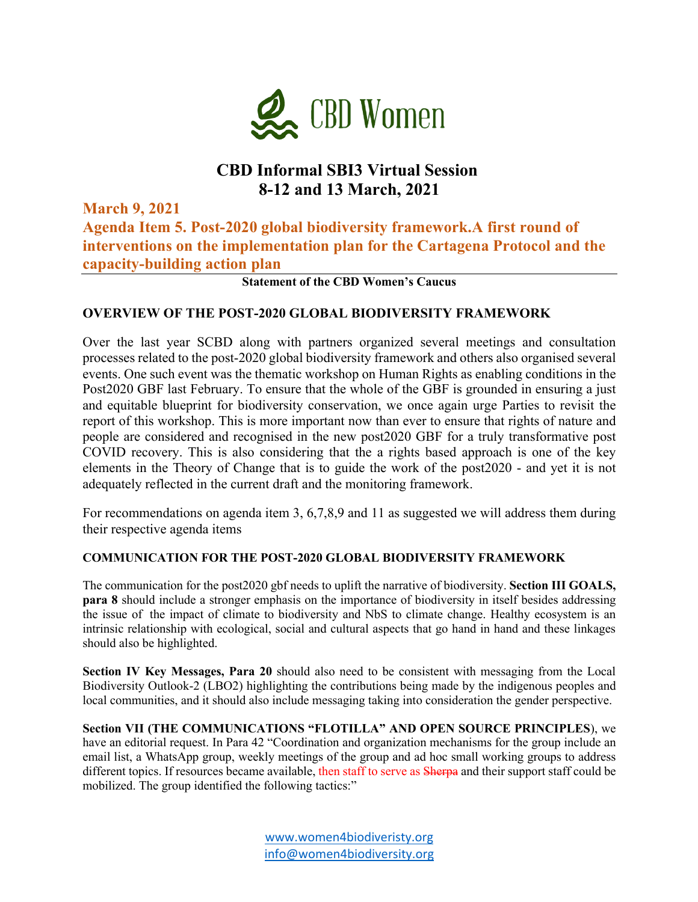

## **CBD Informal SBI3 Virtual Session 8-12 and 13 March, 2021**

**March 9, 2021 Agenda Item 5. Post-2020 global biodiversity framework.A first round of interventions on the implementation plan for the Cartagena Protocol and the capacity-building action plan**

**Statement of the CBD Women's Caucus**

#### **OVERVIEW OF THE POST-2020 GLOBAL BIODIVERSITY FRAMEWORK**

Over the last year SCBD along with partners organized several meetings and consultation processes related to the post-2020 global biodiversity framework and others also organised several events. One such event was the thematic workshop on Human Rights as enabling conditions in the Post2020 GBF last February. To ensure that the whole of the GBF is grounded in ensuring a just and equitable blueprint for biodiversity conservation, we once again urge Parties to revisit the report of this workshop. This is more important now than ever to ensure that rights of nature and people are considered and recognised in the new post2020 GBF for a truly transformative post COVID recovery. This is also considering that the a rights based approach is one of the key elements in the Theory of Change that is to guide the work of the post2020 - and yet it is not adequately reflected in the current draft and the monitoring framework.

For recommendations on agenda item 3, 6,7,8,9 and 11 as suggested we will address them during their respective agenda items

#### **COMMUNICATION FOR THE POST-2020 GLOBAL BIODIVERSITY FRAMEWORK**

The communication for the post2020 gbf needs to uplift the narrative of biodiversity. **Section III GOALS, para 8** should include a stronger emphasis on the importance of biodiversity in itself besides addressing the issue of the impact of climate to biodiversity and NbS to climate change. Healthy ecosystem is an intrinsic relationship with ecological, social and cultural aspects that go hand in hand and these linkages should also be highlighted.

**Section IV Key Messages, Para 20** should also need to be consistent with messaging from the Local Biodiversity Outlook-2 (LBO2) highlighting the contributions being made by the indigenous peoples and local communities, and it should also include messaging taking into consideration the gender perspective.

**Section VII (THE COMMUNICATIONS "FLOTILLA" AND OPEN SOURCE PRINCIPLES**), we have an editorial request. In Para 42 "Coordination and organization mechanisms for the group include an email list, a WhatsApp group, weekly meetings of the group and ad hoc small working groups to address different topics. If resources became available, then staff to serve as Sherpa and their support staff could be mobilized. The group identified the following tactics:"

> www.women4biodiveristy.org info@women4biodiversity.org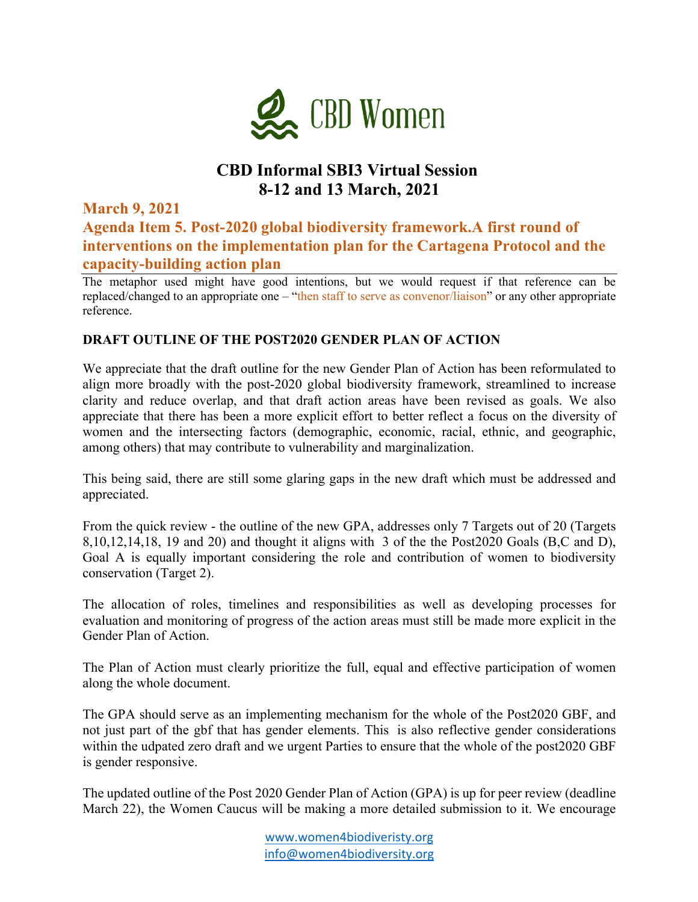

# **CBD Informal SBI3 Virtual Session 8-12 and 13 March, 2021**

**March 9, 2021 Agenda Item 5. Post-2020 global biodiversity framework.A first round of interventions on the implementation plan for the Cartagena Protocol and the capacity-building action plan**

The metaphor used might have good intentions, but we would request if that reference can be replaced/changed to an appropriate one – "then staff to serve as convenor/liaison" or any other appropriate reference.

#### **DRAFT OUTLINE OF THE POST2020 GENDER PLAN OF ACTION**

We appreciate that the draft outline for the new Gender Plan of Action has been reformulated to align more broadly with the post-2020 global biodiversity framework, streamlined to increase clarity and reduce overlap, and that draft action areas have been revised as goals. We also appreciate that there has been a more explicit effort to better reflect a focus on the diversity of women and the intersecting factors (demographic, economic, racial, ethnic, and geographic, among others) that may contribute to vulnerability and marginalization.

This being said, there are still some glaring gaps in the new draft which must be addressed and appreciated.

From the quick review - the outline of the new GPA, addresses only 7 Targets out of 20 (Targets 8,10,12,14,18, 19 and 20) and thought it aligns with 3 of the the Post2020 Goals (B,C and D), Goal A is equally important considering the role and contribution of women to biodiversity conservation (Target 2).

The allocation of roles, timelines and responsibilities as well as developing processes for evaluation and monitoring of progress of the action areas must still be made more explicit in the Gender Plan of Action.

The Plan of Action must clearly prioritize the full, equal and effective participation of women along the whole document.

The GPA should serve as an implementing mechanism for the whole of the Post2020 GBF, and not just part of the gbf that has gender elements. This is also reflective gender considerations within the udpated zero draft and we urgent Parties to ensure that the whole of the post2020 GBF is gender responsive.

The updated outline of the Post 2020 Gender Plan of Action (GPA) is up for peer review (deadline March 22), the Women Caucus will be making a more detailed submission to it. We encourage